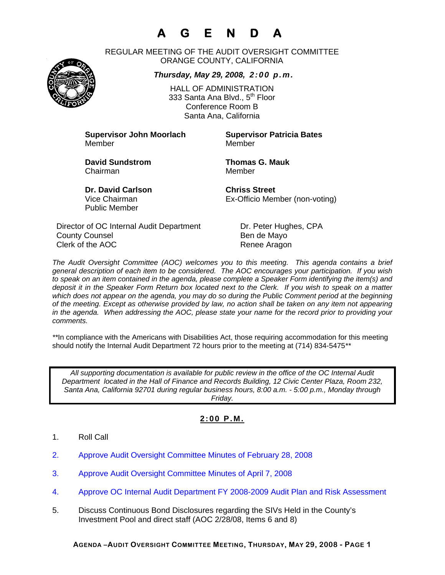# **A G E N D A**

REGULAR MEETING OF THE AUDIT OVERSIGHT COMMITTEE ORANGE COUNTY, CALIFORNIA

### *Thursday, May 29, 2008, 2:00 p.m.*

HALL OF ADMINISTRATION 333 Santa Ana Blvd., 5<sup>th</sup> Floor Conference Room B Santa Ana, California

**Supervisor John Moorlach Supervisor Patricia Bates** Member Member

Chairman Member

**David Sundstrom Thomas G. Mauk** 

**Dr. David Carlson Chriss Street** Public Member

Vice Chairman Ex-Officio Member (non-voting)

Director of OC Internal Audit Department Dr. Peter Hughes, CPA County Counsel **Bende Mayo** Clerk of the AOC Renee Aragon

*The Audit Oversight Committee (AOC) welcomes you to this meeting. This agenda contains a brief general description of each item to be considered. The AOC encourages your participation. If you wish to speak on an item contained in the agenda, please complete a Speaker Form identifying the item(s) and deposit it in the Speaker Form Return box located next to the Clerk. If you wish to speak on a matter which does not appear on the agenda, you may do so during the Public Comment period at the beginning of the meeting. Except as otherwise provided by law, no action shall be taken on any item not appearing in the agenda. When addressing the AOC, please state your name for the record prior to providing your comments.* 

*\*\**In compliance with the Americans with Disabilities Act, those requiring accommodation for this meeting should notify the Internal Audit Department 72 hours prior to the meeting at (714) 834-5475*\*\** 

*All supporting documentation is available for public review in the office of the OC Internal Audit Department located in the Hall of Finance and Records Building, 12 Civic Center Plaza, Room 232, Santa Ana, California 92701 during regular business hours, 8:00 a.m. - 5:00 p.m., Monday through Friday.* 

## **2:00 P.M.**

- 1. Roll Call
- 2. Approve Audit Oversight Committee Minutes of February 28, 2008
- 3. Approve Audit Oversight Committee Minutes of April 7, 2008
- 4. Approve OC Internal Audit Department FY 2008-2009 Audit Plan and Risk Assessment
- 5. Discuss Continuous Bond Disclosures regarding the SIVs Held in the County's Investment Pool and direct staff (AOC 2/28/08, Items 6 and 8)